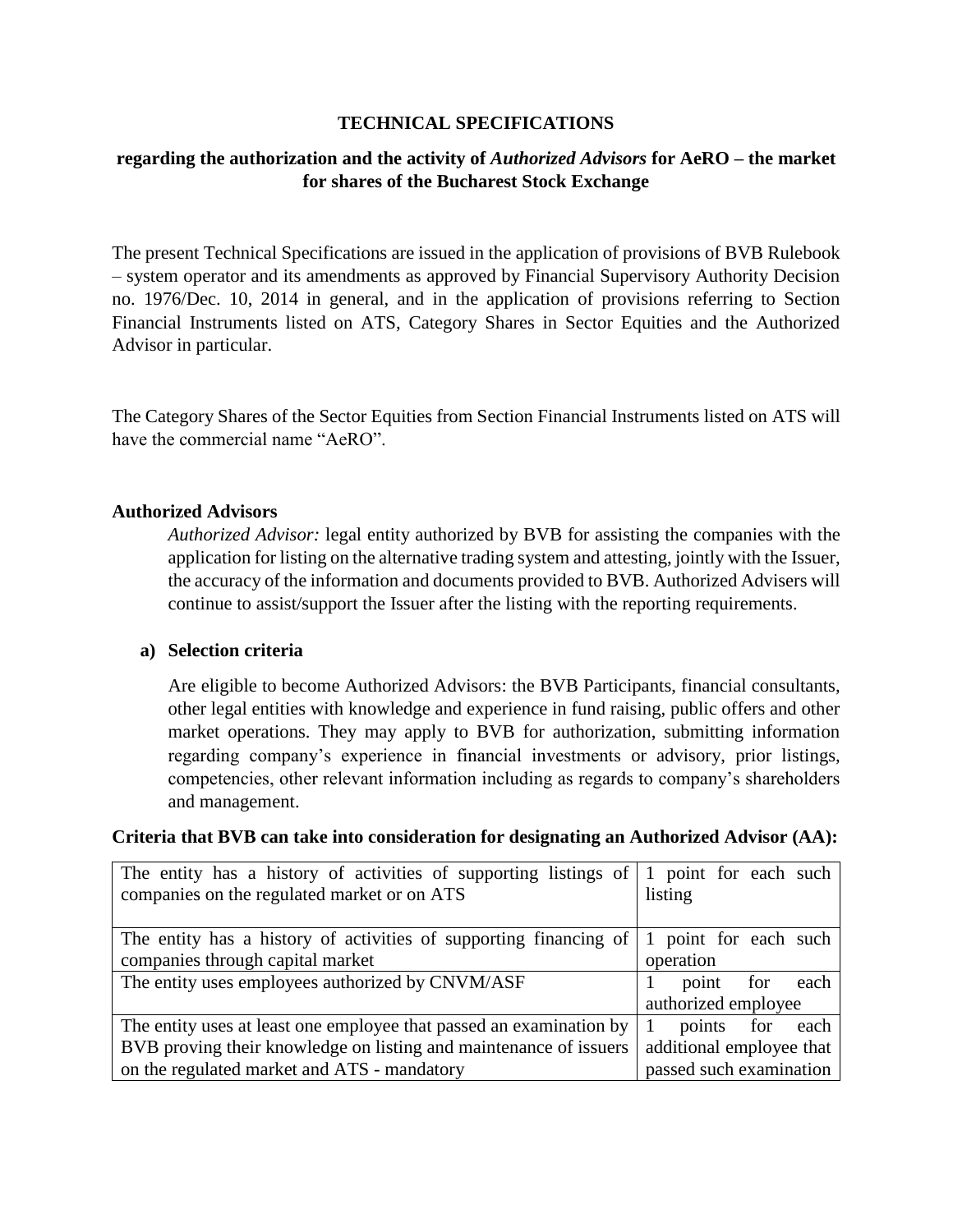### **TECHNICAL SPECIFICATIONS**

## **regarding the authorization and the activity of** *Authorized Advisors* **for AeRO – the market for shares of the Bucharest Stock Exchange**

The present Technical Specifications are issued in the application of provisions of BVB Rulebook – system operator and its amendments as approved by Financial Supervisory Authority Decision no. 1976/Dec. 10, 2014 in general, and in the application of provisions referring to Section Financial Instruments listed on ATS, Category Shares in Sector Equities and the Authorized Advisor in particular.

The Category Shares of the Sector Equities from Section Financial Instruments listed on ATS will have the commercial name "AeRO".

### **Authorized Advisors**

*Authorized Advisor:* legal entity authorized by BVB for assisting the companies with the application for listing on the alternative trading system and attesting, jointly with the Issuer, the accuracy of the information and documents provided to BVB. Authorized Advisers will continue to assist/support the Issuer after the listing with the reporting requirements.

### **a) Selection criteria**

Are eligible to become Authorized Advisors: the BVB Participants, financial consultants, other legal entities with knowledge and experience in fund raising, public offers and other market operations. They may apply to BVB for authorization, submitting information regarding company's experience in financial investments or advisory, prior listings, competencies, other relevant information including as regards to company's shareholders and management.

#### **Criteria that BVB can take into consideration for designating an Authorized Advisor (AA):**

| The entity has a history of activities of supporting listings of $\vert$ 1 point for each such |                                     |
|------------------------------------------------------------------------------------------------|-------------------------------------|
| companies on the regulated market or on ATS                                                    | listing                             |
|                                                                                                |                                     |
| The entity has a history of activities of supporting financing of                              | point for each such<br>$\mathbf{1}$ |
| companies through capital market                                                               | operation                           |
| The entity uses employees authorized by CNVM/ASF                                               | for each<br>point                   |
|                                                                                                | authorized employee                 |
| The entity uses at least one employee that passed an examination by                            | points<br>for<br>each               |
| BVB proving their knowledge on listing and maintenance of issuers                              | additional employee that            |
| on the regulated market and ATS - mandatory                                                    | passed such examination             |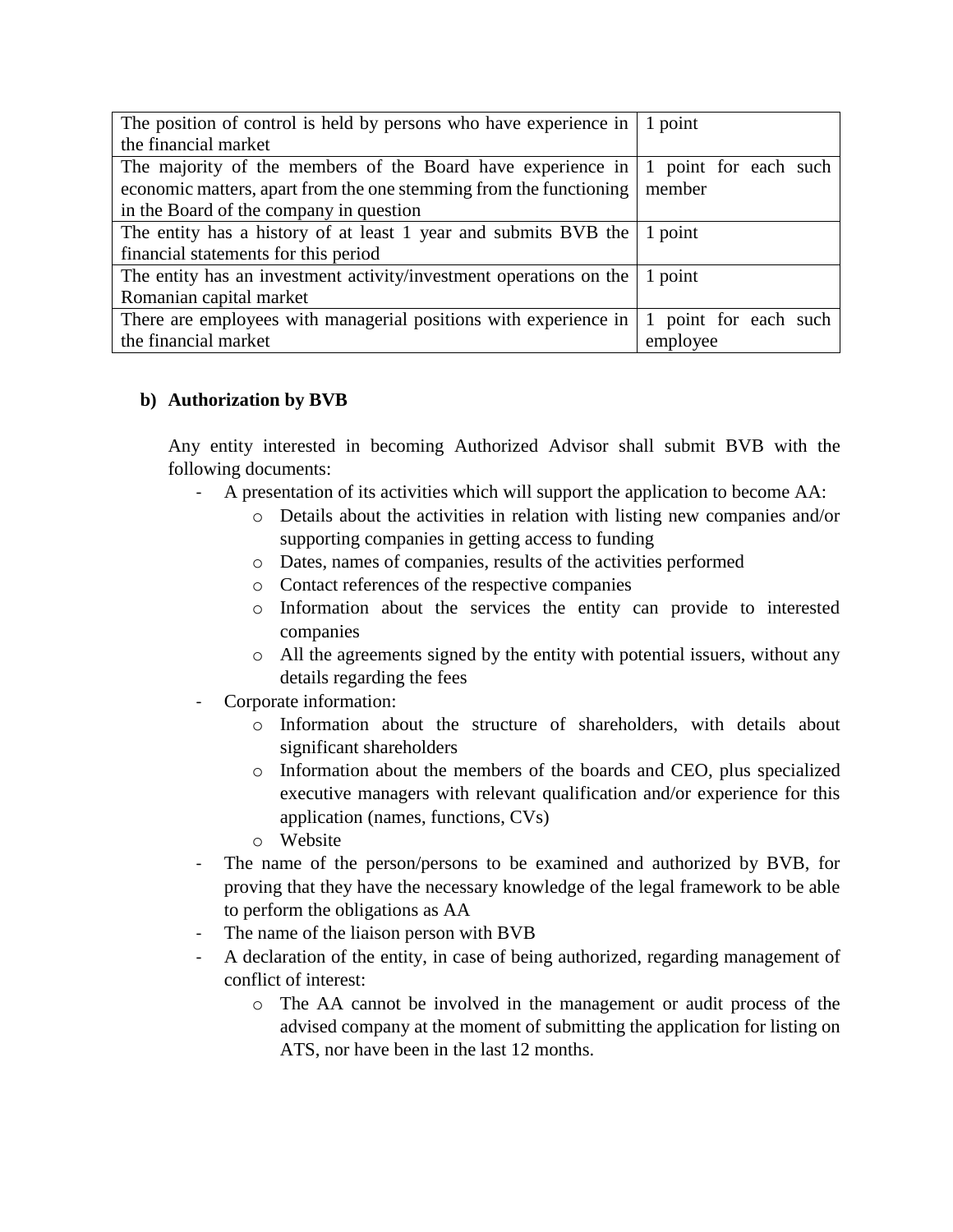| The position of control is held by persons who have experience in $\vert$ 1 point         |                       |
|-------------------------------------------------------------------------------------------|-----------------------|
| the financial market                                                                      |                       |
| The majority of the members of the Board have experience in $\vert$ 1 point for each such |                       |
| economic matters, apart from the one stemming from the functioning                        | member                |
| in the Board of the company in question                                                   |                       |
| The entity has a history of at least 1 year and submits BVB the $\vert$ 1 point           |                       |
| financial statements for this period                                                      |                       |
| The entity has an investment activity/investment operations on the $\vert$ 1 point        |                       |
| Romanian capital market                                                                   |                       |
| There are employees with managerial positions with experience in                          | 1 point for each such |
| the financial market                                                                      | employee              |

## **b) Authorization by BVB**

Any entity interested in becoming Authorized Advisor shall submit BVB with the following documents:

- A presentation of its activities which will support the application to become AA:
	- o Details about the activities in relation with listing new companies and/or supporting companies in getting access to funding
	- o Dates, names of companies, results of the activities performed
	- o Contact references of the respective companies
	- o Information about the services the entity can provide to interested companies
	- o All the agreements signed by the entity with potential issuers, without any details regarding the fees
- Corporate information:
	- o Information about the structure of shareholders, with details about significant shareholders
	- o Information about the members of the boards and CEO, plus specialized executive managers with relevant qualification and/or experience for this application (names, functions, CVs)
	- o Website
- The name of the person/persons to be examined and authorized by BVB, for proving that they have the necessary knowledge of the legal framework to be able to perform the obligations as AA
- The name of the liaison person with BVB
- A declaration of the entity, in case of being authorized, regarding management of conflict of interest:
	- o The AA cannot be involved in the management or audit process of the advised company at the moment of submitting the application for listing on ATS, nor have been in the last 12 months.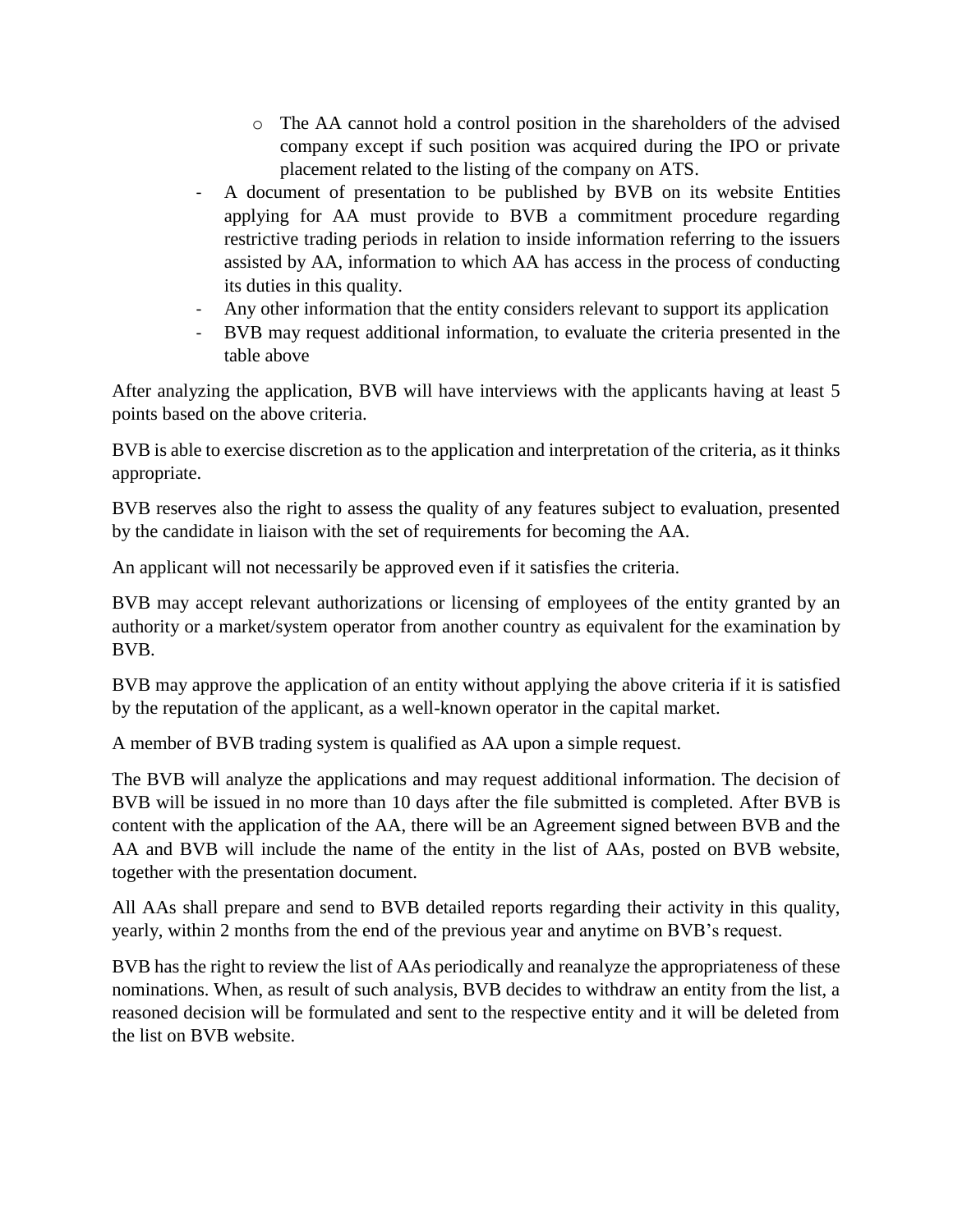- o The AA cannot hold a control position in the shareholders of the advised company except if such position was acquired during the IPO or private placement related to the listing of the company on ATS.
- A document of presentation to be published by BVB on its website Entities applying for AA must provide to BVB a commitment procedure regarding restrictive trading periods in relation to inside information referring to the issuers assisted by AA, information to which AA has access in the process of conducting its duties in this quality.
- Any other information that the entity considers relevant to support its application
- BVB may request additional information, to evaluate the criteria presented in the table above

After analyzing the application, BVB will have interviews with the applicants having at least 5 points based on the above criteria.

BVB is able to exercise discretion as to the application and interpretation of the criteria, as it thinks appropriate.

BVB reserves also the right to assess the quality of any features subject to evaluation, presented by the candidate in liaison with the set of requirements for becoming the AA.

An applicant will not necessarily be approved even if it satisfies the criteria.

BVB may accept relevant authorizations or licensing of employees of the entity granted by an authority or a market/system operator from another country as equivalent for the examination by BVB.

BVB may approve the application of an entity without applying the above criteria if it is satisfied by the reputation of the applicant, as a well-known operator in the capital market.

A member of BVB trading system is qualified as AA upon a simple request.

The BVB will analyze the applications and may request additional information. The decision of BVB will be issued in no more than 10 days after the file submitted is completed. After BVB is content with the application of the AA, there will be an Agreement signed between BVB and the AA and BVB will include the name of the entity in the list of AAs, posted on BVB website, together with the presentation document.

All AAs shall prepare and send to BVB detailed reports regarding their activity in this quality, yearly, within 2 months from the end of the previous year and anytime on BVB's request.

BVB has the right to review the list of AAs periodically and reanalyze the appropriateness of these nominations. When, as result of such analysis, BVB decides to withdraw an entity from the list, a reasoned decision will be formulated and sent to the respective entity and it will be deleted from the list on BVB website.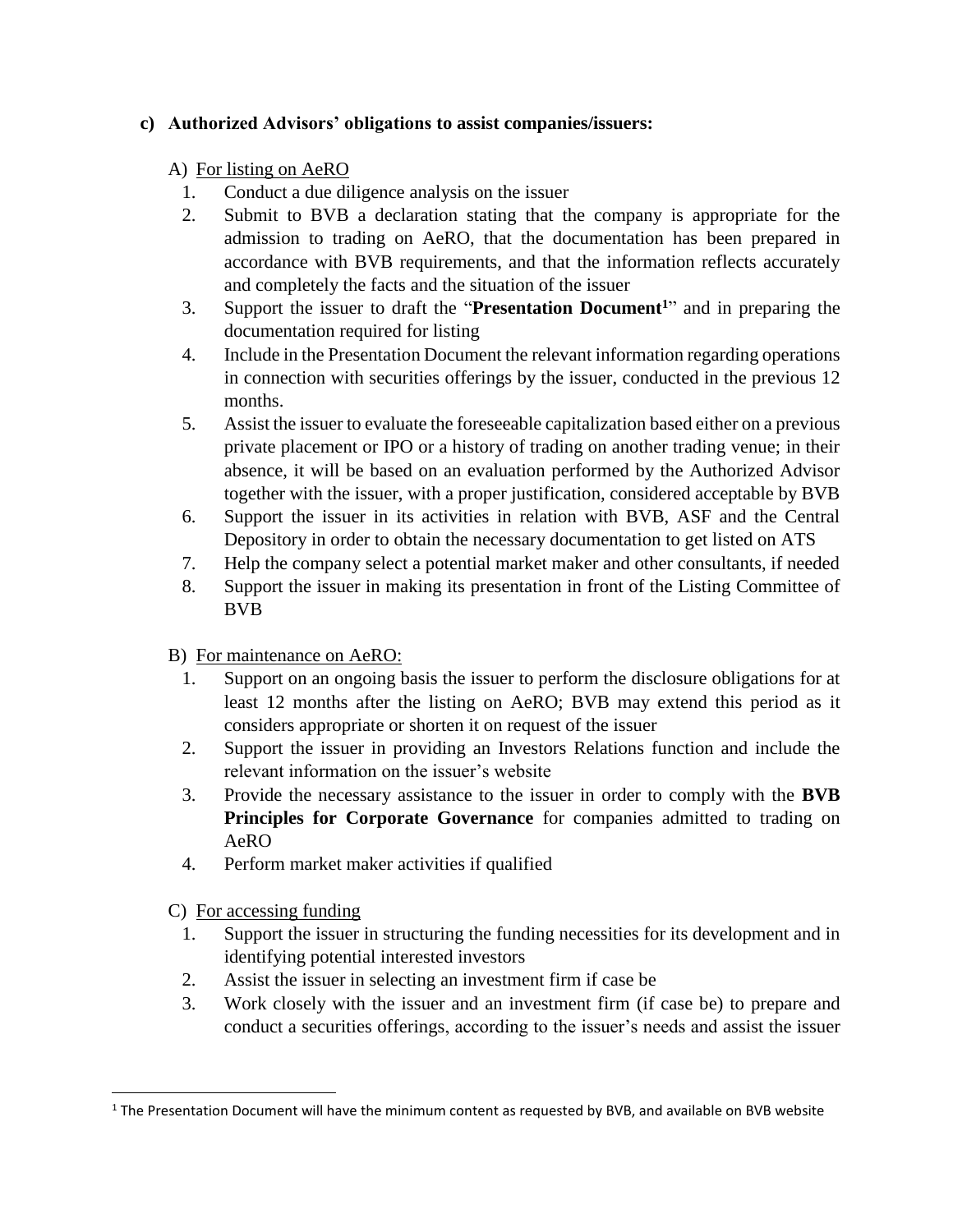## **c) Authorized Advisors' obligations to assist companies/issuers:**

# A) For listing on AeRO

- 1. Conduct a due diligence analysis on the issuer
- 2. Submit to BVB a declaration stating that the company is appropriate for the admission to trading on AeRO, that the documentation has been prepared in accordance with BVB requirements, and that the information reflects accurately and completely the facts and the situation of the issuer
- 3. Support the issuer to draft the "**Presentation Document<sup>1</sup>**" and in preparing the documentation required for listing
- 4. Include in the Presentation Document the relevant information regarding operations in connection with securities offerings by the issuer, conducted in the previous 12 months.
- 5. Assist the issuer to evaluate the foreseeable capitalization based either on a previous private placement or IPO or a history of trading on another trading venue; in their absence, it will be based on an evaluation performed by the Authorized Advisor together with the issuer, with a proper justification, considered acceptable by BVB
- 6. Support the issuer in its activities in relation with BVB, ASF and the Central Depository in order to obtain the necessary documentation to get listed on ATS
- 7. Help the company select a potential market maker and other consultants, if needed
- 8. Support the issuer in making its presentation in front of the Listing Committee of BVB
- B) For maintenance on AeRO:
	- 1. Support on an ongoing basis the issuer to perform the disclosure obligations for at least 12 months after the listing on AeRO; BVB may extend this period as it considers appropriate or shorten it on request of the issuer
	- 2. Support the issuer in providing an Investors Relations function and include the relevant information on the issuer's website
	- 3. Provide the necessary assistance to the issuer in order to comply with the **BVB Principles for Corporate Governance** for companies admitted to trading on AeRO
	- 4. Perform market maker activities if qualified
- C) For accessing funding

 $\overline{\phantom{a}}$ 

- 1. Support the issuer in structuring the funding necessities for its development and in identifying potential interested investors
- 2. Assist the issuer in selecting an investment firm if case be
- 3. Work closely with the issuer and an investment firm (if case be) to prepare and conduct a securities offerings, according to the issuer's needs and assist the issuer

<sup>&</sup>lt;sup>1</sup> The Presentation Document will have the minimum content as requested by BVB, and available on BVB website